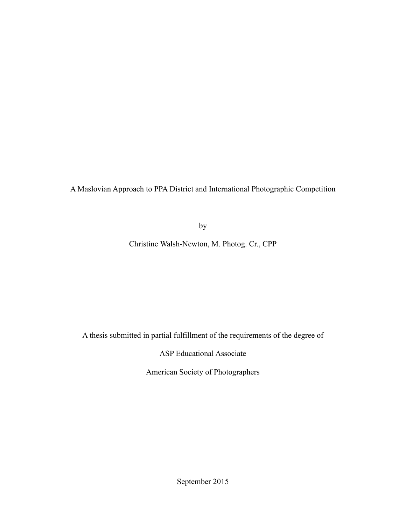A Maslovian Approach to PPA District and International Photographic Competition

by

Christine Walsh-Newton, M. Photog. Cr., CPP

A thesis submitted in partial fulfillment of the requirements of the degree of

ASP Educational Associate

American Society of Photographers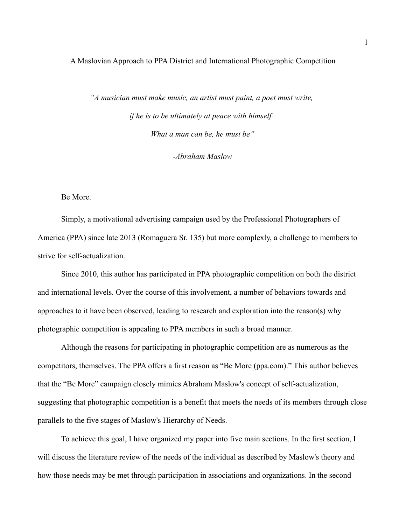A Maslovian Approach to PPA District and International Photographic Competition

*"A musician must make music, an artist must paint, a poet must write, if he is to be ultimately at peace with himself. What a man can be, he must be"*

*-Abraham Maslow*

Be More.

Simply, a motivational advertising campaign used by the Professional Photographers of America (PPA) since late 2013 (Romaguera Sr. 135) but more complexly, a challenge to members to strive for self-actualization.

Since 2010, this author has participated in PPA photographic competition on both the district and international levels. Over the course of this involvement, a number of behaviors towards and approaches to it have been observed, leading to research and exploration into the reason(s) why photographic competition is appealing to PPA members in such a broad manner.

Although the reasons for participating in photographic competition are as numerous as the competitors, themselves. The PPA offers a first reason as "Be More (ppa.com)." This author believes that the "Be More" campaign closely mimics Abraham Maslow's concept of self-actualization, suggesting that photographic competition is a benefit that meets the needs of its members through close parallels to the five stages of Maslow's Hierarchy of Needs.

To achieve this goal, I have organized my paper into five main sections. In the first section, I will discuss the literature review of the needs of the individual as described by Maslow's theory and how those needs may be met through participation in associations and organizations. In the second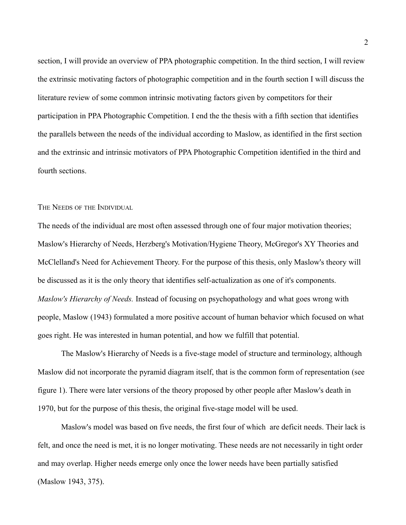section, I will provide an overview of PPA photographic competition. In the third section, I will review the extrinsic motivating factors of photographic competition and in the fourth section I will discuss the literature review of some common intrinsic motivating factors given by competitors for their participation in PPA Photographic Competition. I end the the thesis with a fifth section that identifies the parallels between the needs of the individual according to Maslow, as identified in the first section and the extrinsic and intrinsic motivators of PPA Photographic Competition identified in the third and fourth sections.

THE NEEDS OF THE INDIVIDUAL

The needs of the individual are most often assessed through one of four major motivation theories; Maslow's Hierarchy of Needs, Herzberg's Motivation/Hygiene Theory, McGregor's XY Theories and McClelland's Need for Achievement Theory. For the purpose of this thesis, only Maslow's theory will be discussed as it is the only theory that identifies self-actualization as one of it's components. *Maslow's Hierarchy of Needs.* Instead of focusing on psychopathology and what goes wrong with people, Maslow (1943) formulated a more positive account of human behavior which focused on what goes right. He was interested in human potential, and how we fulfill that potential.

The Maslow's Hierarchy of Needs is a five-stage model of structure and terminology, although Maslow did not incorporate the pyramid diagram itself, that is the common form of representation (see figure 1). There were later versions of the theory proposed by other people after Maslow's death in 1970, but for the purpose of this thesis, the original five-stage model will be used.

Maslow's model was based on five needs, the first four of which are deficit needs. Their lack is felt, and once the need is met, it is no longer motivating. These needs are not necessarily in tight order and may overlap. Higher needs emerge only once the lower needs have been partially satisfied (Maslow 1943, 375).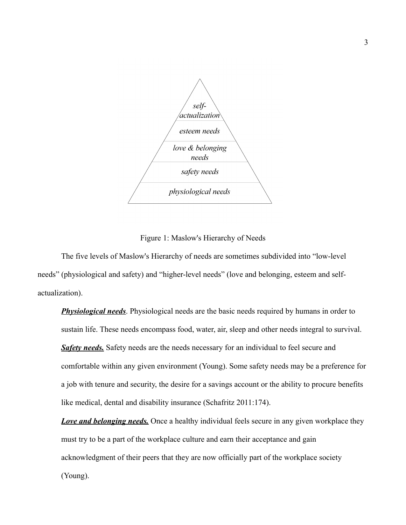

Figure 1: Maslow's Hierarchy of Needs

The five levels of Maslow's Hierarchy of needs are sometimes subdivided into "low-level needs" (physiological and safety) and "higher-level needs" (love and belonging, esteem and selfactualization).

**Physiological needs**. Physiological needs are the basic needs required by humans in order to sustain life. These needs encompass food, water, air, sleep and other needs integral to survival. **Safety needs.** Safety needs are the needs necessary for an individual to feel secure and comfortable within any given environment (Young). Some safety needs may be a preference for a job with tenure and security, the desire for a savings account or the ability to procure benefits like medical, dental and disability insurance (Schafritz 2011:174).

**Love and belonging needs.** Once a healthy individual feels secure in any given workplace they must try to be a part of the workplace culture and earn their acceptance and gain acknowledgment of their peers that they are now officially part of the workplace society (Young).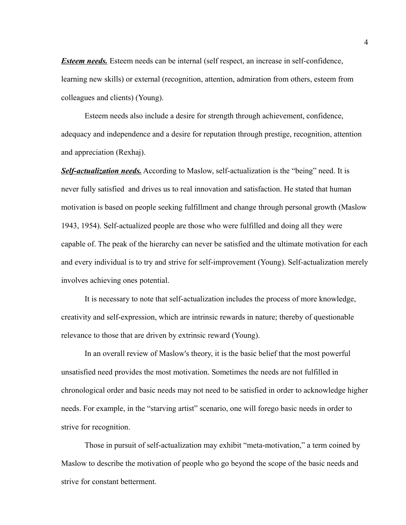*Esteem needs.* Esteem needs can be internal (self respect, an increase in self-confidence, learning new skills) or external (recognition, attention, admiration from others, esteem from colleagues and clients) (Young).

Esteem needs also include a desire for strength through achievement, confidence, adequacy and independence and a desire for reputation through prestige, recognition, attention and appreciation (Rexhaj).

*Self-actualization needs.* According to Maslow, self-actualization is the "being" need. It is never fully satisfied and drives us to real innovation and satisfaction. He stated that human motivation is based on people seeking fulfillment and change through personal growth (Maslow 1943, 1954). Self-actualized people are those who were fulfilled and doing all they were capable of. The peak of the hierarchy can never be satisfied and the ultimate motivation for each and every individual is to try and strive for self-improvement (Young). Self-actualization merely involves achieving ones potential.

It is necessary to note that self-actualization includes the process of more knowledge, creativity and self-expression, which are intrinsic rewards in nature; thereby of questionable relevance to those that are driven by extrinsic reward (Young).

In an overall review of Maslow's theory, it is the basic belief that the most powerful unsatisfied need provides the most motivation. Sometimes the needs are not fulfilled in chronological order and basic needs may not need to be satisfied in order to acknowledge higher needs. For example, in the "starving artist" scenario, one will forego basic needs in order to strive for recognition.

Those in pursuit of self-actualization may exhibit "meta-motivation," a term coined by Maslow to describe the motivation of people who go beyond the scope of the basic needs and strive for constant betterment.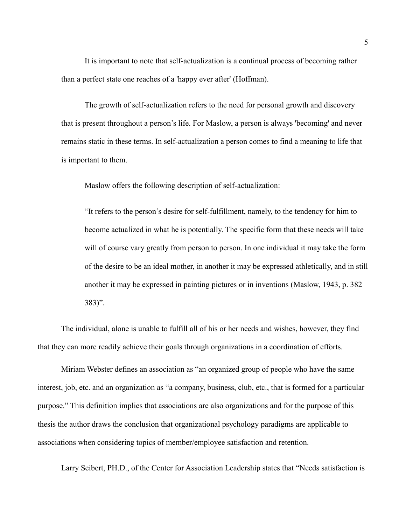It is important to note that self-actualization is a continual process of becoming rather than a perfect state one reaches of a 'happy ever after' (Hoffman).

The growth of self-actualization refers to the need for personal growth and discovery that is present throughout a person's life. For Maslow, a person is always 'becoming' and never remains static in these terms. In self-actualization a person comes to find a meaning to life that is important to them.

Maslow offers the following description of self-actualization:

"It refers to the person's desire for self-fulfillment, namely, to the tendency for him to become actualized in what he is potentially. The specific form that these needs will take will of course vary greatly from person to person. In one individual it may take the form of the desire to be an ideal mother, in another it may be expressed athletically, and in still another it may be expressed in painting pictures or in inventions (Maslow, 1943, p. 382– 383)".

The individual, alone is unable to fulfill all of his or her needs and wishes, however, they find that they can more readily achieve their goals through organizations in a coordination of efforts.

Miriam Webster defines an association as "an organized group of people who have the same interest, job, etc. and an organization as "a company, business, club, etc., that is formed for a particular purpose." This definition implies that associations are also organizations and for the purpose of this thesis the author draws the conclusion that organizational psychology paradigms are applicable to associations when considering topics of member/employee satisfaction and retention.

Larry Seibert, PH.D., of the Center for Association Leadership states that "Needs satisfaction is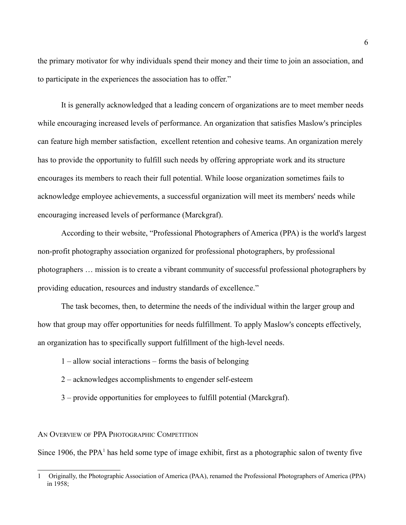the primary motivator for why individuals spend their money and their time to join an association, and to participate in the experiences the association has to offer."

It is generally acknowledged that a leading concern of organizations are to meet member needs while encouraging increased levels of performance. An organization that satisfies Maslow's principles can feature high member satisfaction, excellent retention and cohesive teams. An organization merely has to provide the opportunity to fulfill such needs by offering appropriate work and its structure encourages its members to reach their full potential. While loose organization sometimes fails to acknowledge employee achievements, a successful organization will meet its members' needs while encouraging increased levels of performance (Marckgraf).

According to their website, "Professional Photographers of America (PPA) is the world's largest non-profit photography association organized for professional photographers, by professional photographers … mission is to create a vibrant community of successful professional photographers by providing education, resources and industry standards of excellence."

The task becomes, then, to determine the needs of the individual within the larger group and how that group may offer opportunities for needs fulfillment. To apply Maslow's concepts effectively, an organization has to specifically support fulfillment of the high-level needs.

- 1 allow social interactions forms the basis of belonging
- 2 acknowledges accomplishments to engender self-esteem
- 3 provide opportunities for employees to fulfill potential (Marckgraf).

## AN OVERVIEW OF PPA PHOTOGRAPHIC COMPETITION

Since [1](#page-6-0)906, the PPA<sup>1</sup> has held some type of image exhibit, first as a photographic salon of twenty five

<span id="page-6-0"></span><sup>1</sup> Originally, the Photographic Association of America (PAA), renamed the Professional Photographers of America (PPA) in 1958;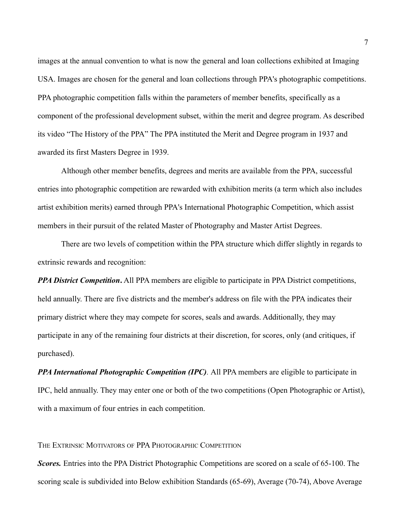images at the annual convention to what is now the general and loan collections exhibited at Imaging USA. Images are chosen for the general and loan collections through PPA's photographic competitions. PPA photographic competition falls within the parameters of member benefits, specifically as a component of the professional development subset, within the merit and degree program. As described its video "The History of the PPA" The PPA instituted the Merit and Degree program in 1937 and awarded its first Masters Degree in 1939.

Although other member benefits, degrees and merits are available from the PPA, successful entries into photographic competition are rewarded with exhibition merits (a term which also includes artist exhibition merits) earned through PPA's International Photographic Competition, which assist members in their pursuit of the related Master of Photography and Master Artist Degrees.

There are two levels of competition within the PPA structure which differ slightly in regards to extrinsic rewards and recognition:

*PPA District Competition.* All PPA members are eligible to participate in PPA District competitions, held annually. There are five districts and the member's address on file with the PPA indicates their primary district where they may compete for scores, seals and awards. Additionally, they may participate in any of the remaining four districts at their discretion, for scores, only (and critiques, if purchased).

*PPA International Photographic Competition (IPC).* All PPA members are eligible to participate in IPC, held annually. They may enter one or both of the two competitions (Open Photographic or Artist), with a maximum of four entries in each competition.

THE EXTRINSIC MOTIVATORS OF PPA PHOTOGRAPHIC COMPETITION

*Scores.* Entries into the PPA District Photographic Competitions are scored on a scale of 65-100. The scoring scale is subdivided into Below exhibition Standards (65-69), Average (70-74), Above Average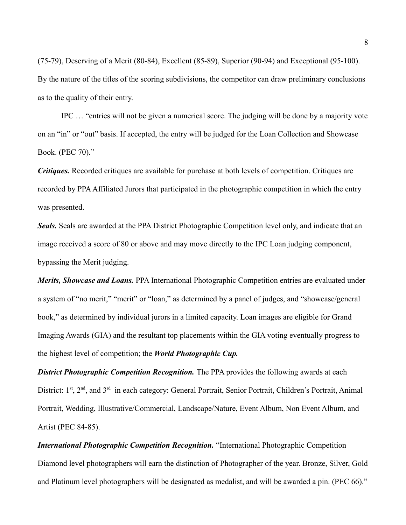(75-79), Deserving of a Merit (80-84), Excellent (85-89), Superior (90-94) and Exceptional (95-100). By the nature of the titles of the scoring subdivisions, the competitor can draw preliminary conclusions as to the quality of their entry.

IPC … "entries will not be given a numerical score. The judging will be done by a majority vote on an "in" or "out" basis. If accepted, the entry will be judged for the Loan Collection and Showcase Book. (PEC 70)."

*Critiques.* Recorded critiques are available for purchase at both levels of competition. Critiques are recorded by PPA Affiliated Jurors that participated in the photographic competition in which the entry was presented.

*Seals.* Seals are awarded at the PPA District Photographic Competition level only, and indicate that an image received a score of 80 or above and may move directly to the IPC Loan judging component, bypassing the Merit judging.

*Merits, Showcase and Loans.* PPA International Photographic Competition entries are evaluated under a system of "no merit," "merit" or "loan," as determined by a panel of judges, and "showcase/general book," as determined by individual jurors in a limited capacity. Loan images are eligible for Grand Imaging Awards (GIA) and the resultant top placements within the GIA voting eventually progress to the highest level of competition; the *World Photographic Cup.*

**District Photographic Competition Recognition.** The PPA provides the following awards at each District: 1<sup>st</sup>, 2<sup>nd</sup>, and 3<sup>rd</sup> in each category: General Portrait, Senior Portrait, Children's Portrait, Animal Portrait, Wedding, Illustrative/Commercial, Landscape/Nature, Event Album, Non Event Album, and Artist (PEC 84-85).

*International Photographic Competition Recognition. "International Photographic Competition* Diamond level photographers will earn the distinction of Photographer of the year. Bronze, Silver, Gold and Platinum level photographers will be designated as medalist, and will be awarded a pin. (PEC 66)."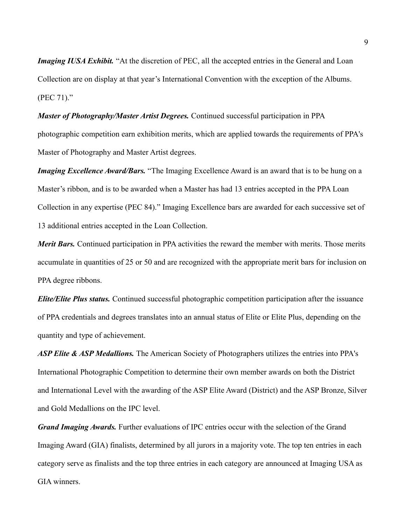*Imaging IUSA Exhibit.* "At the discretion of PEC, all the accepted entries in the General and Loan Collection are on display at that year's International Convention with the exception of the Albums. (PEC 71)."

*Master of Photography/Master Artist Degrees.* Continued successful participation in PPA photographic competition earn exhibition merits, which are applied towards the requirements of PPA's Master of Photography and Master Artist degrees.

*Imaging Excellence Award/Bars.* "The Imaging Excellence Award is an award that is to be hung on a Master's ribbon, and is to be awarded when a Master has had 13 entries accepted in the PPA Loan Collection in any expertise (PEC 84)." Imaging Excellence bars are awarded for each successive set of 13 additional entries accepted in the Loan Collection.

*Merit Bars.* Continued participation in PPA activities the reward the member with merits. Those merits accumulate in quantities of 25 or 50 and are recognized with the appropriate merit bars for inclusion on PPA degree ribbons.

*Elite/Elite Plus status.* Continued successful photographic competition participation after the issuance of PPA credentials and degrees translates into an annual status of Elite or Elite Plus, depending on the quantity and type of achievement.

*ASP Elite & ASP Medallions.* The American Society of Photographers utilizes the entries into PPA's International Photographic Competition to determine their own member awards on both the District and International Level with the awarding of the ASP Elite Award (District) and the ASP Bronze, Silver and Gold Medallions on the IPC level.

*Grand Imaging Awards.* Further evaluations of IPC entries occur with the selection of the Grand Imaging Award (GIA) finalists, determined by all jurors in a majority vote. The top ten entries in each category serve as finalists and the top three entries in each category are announced at Imaging USA as GIA winners.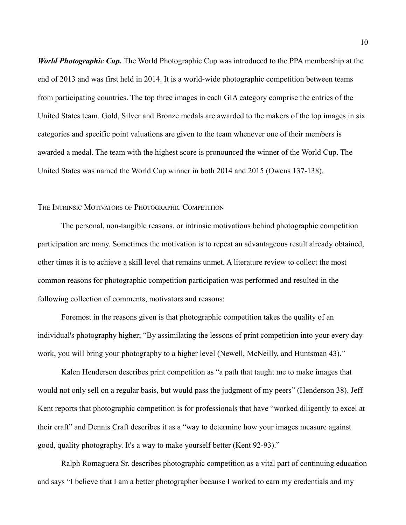*World Photographic Cup.* The World Photographic Cup was introduced to the PPA membership at the end of 2013 and was first held in 2014. It is a world-wide photographic competition between teams from participating countries. The top three images in each GIA category comprise the entries of the United States team. Gold, Silver and Bronze medals are awarded to the makers of the top images in six categories and specific point valuations are given to the team whenever one of their members is awarded a medal. The team with the highest score is pronounced the winner of the World Cup. The United States was named the World Cup winner in both 2014 and 2015 (Owens 137-138).

## THE INTRINSIC MOTIVATORS OF PHOTOGRAPHIC COMPETITION

The personal, non-tangible reasons, or intrinsic motivations behind photographic competition participation are many. Sometimes the motivation is to repeat an advantageous result already obtained, other times it is to achieve a skill level that remains unmet. A literature review to collect the most common reasons for photographic competition participation was performed and resulted in the following collection of comments, motivators and reasons:

Foremost in the reasons given is that photographic competition takes the quality of an individual's photography higher; "By assimilating the lessons of print competition into your every day work, you will bring your photography to a higher level (Newell, McNeilly, and Huntsman 43)."

Kalen Henderson describes print competition as "a path that taught me to make images that would not only sell on a regular basis, but would pass the judgment of my peers" (Henderson 38). Jeff Kent reports that photographic competition is for professionals that have "worked diligently to excel at their craft" and Dennis Craft describes it as a "way to determine how your images measure against good, quality photography. It's a way to make yourself better (Kent 92-93)."

Ralph Romaguera Sr. describes photographic competition as a vital part of continuing education and says "I believe that I am a better photographer because I worked to earn my credentials and my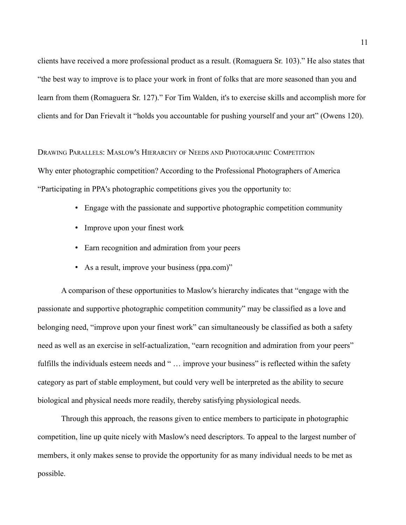clients have received a more professional product as a result. (Romaguera Sr. 103)." He also states that "the best way to improve is to place your work in front of folks that are more seasoned than you and learn from them (Romaguera Sr. 127)." For Tim Walden, it's to exercise skills and accomplish more for clients and for Dan Frievalt it "holds you accountable for pushing yourself and your art" (Owens 120).

DRAWING PARALLELS: MASLOW'S HIERARCHY OF NEEDS AND PHOTOGRAPHIC COMPETITION Why enter photographic competition? According to the Professional Photographers of America "Participating in PPA's photographic competitions gives you the opportunity to:

- Engage with the passionate and supportive photographic competition community
- Improve upon your finest work
- Earn recognition and admiration from your peers
- As a result, improve your business (ppa.com)"

A comparison of these opportunities to Maslow's hierarchy indicates that "engage with the passionate and supportive photographic competition community" may be classified as a love and belonging need, "improve upon your finest work" can simultaneously be classified as both a safety need as well as an exercise in self-actualization, "earn recognition and admiration from your peers" fulfills the individuals esteem needs and "... improve your business" is reflected within the safety category as part of stable employment, but could very well be interpreted as the ability to secure biological and physical needs more readily, thereby satisfying physiological needs.

Through this approach, the reasons given to entice members to participate in photographic competition, line up quite nicely with Maslow's need descriptors. To appeal to the largest number of members, it only makes sense to provide the opportunity for as many individual needs to be met as possible.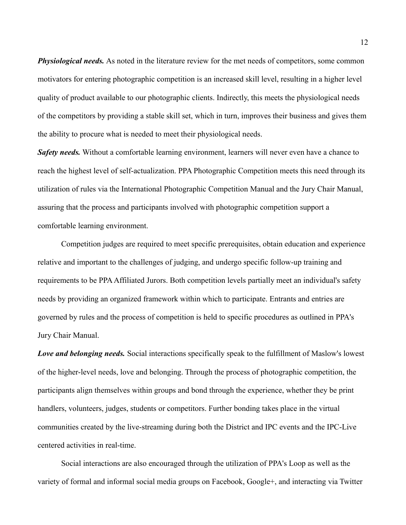*Physiological needs.* As noted in the literature review for the met needs of competitors, some common motivators for entering photographic competition is an increased skill level, resulting in a higher level quality of product available to our photographic clients. Indirectly, this meets the physiological needs of the competitors by providing a stable skill set, which in turn, improves their business and gives them the ability to procure what is needed to meet their physiological needs.

*Safety needs.* Without a comfortable learning environment, learners will never even have a chance to reach the highest level of self-actualization. PPA Photographic Competition meets this need through its utilization of rules via the International Photographic Competition Manual and the Jury Chair Manual, assuring that the process and participants involved with photographic competition support a comfortable learning environment.

Competition judges are required to meet specific prerequisites, obtain education and experience relative and important to the challenges of judging, and undergo specific follow-up training and requirements to be PPA Affiliated Jurors. Both competition levels partially meet an individual's safety needs by providing an organized framework within which to participate. Entrants and entries are governed by rules and the process of competition is held to specific procedures as outlined in PPA's Jury Chair Manual.

*Love and belonging needs.* Social interactions specifically speak to the fulfillment of Maslow's lowest of the higher-level needs, love and belonging. Through the process of photographic competition, the participants align themselves within groups and bond through the experience, whether they be print handlers, volunteers, judges, students or competitors. Further bonding takes place in the virtual communities created by the live-streaming during both the District and IPC events and the IPC-Live centered activities in real-time.

Social interactions are also encouraged through the utilization of PPA's Loop as well as the variety of formal and informal social media groups on Facebook, Google+, and interacting via Twitter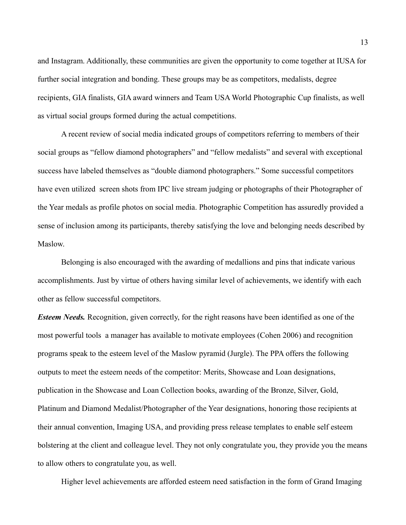and Instagram. Additionally, these communities are given the opportunity to come together at IUSA for further social integration and bonding. These groups may be as competitors, medalists, degree recipients, GIA finalists, GIA award winners and Team USA World Photographic Cup finalists, as well as virtual social groups formed during the actual competitions.

A recent review of social media indicated groups of competitors referring to members of their social groups as "fellow diamond photographers" and "fellow medalists" and several with exceptional success have labeled themselves as "double diamond photographers." Some successful competitors have even utilized screen shots from IPC live stream judging or photographs of their Photographer of the Year medals as profile photos on social media. Photographic Competition has assuredly provided a sense of inclusion among its participants, thereby satisfying the love and belonging needs described by Maslow.

Belonging is also encouraged with the awarding of medallions and pins that indicate various accomplishments. Just by virtue of others having similar level of achievements, we identify with each other as fellow successful competitors.

*Esteem Needs.* Recognition, given correctly, for the right reasons have been identified as one of the most powerful tools a manager has available to motivate employees (Cohen 2006) and recognition programs speak to the esteem level of the Maslow pyramid (Jurgle). The PPA offers the following outputs to meet the esteem needs of the competitor: Merits, Showcase and Loan designations, publication in the Showcase and Loan Collection books, awarding of the Bronze, Silver, Gold, Platinum and Diamond Medalist/Photographer of the Year designations, honoring those recipients at their annual convention, Imaging USA, and providing press release templates to enable self esteem bolstering at the client and colleague level. They not only congratulate you, they provide you the means to allow others to congratulate you, as well.

Higher level achievements are afforded esteem need satisfaction in the form of Grand Imaging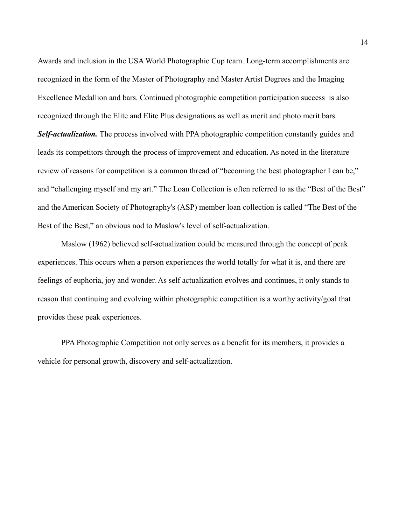Awards and inclusion in the USA World Photographic Cup team. Long-term accomplishments are recognized in the form of the Master of Photography and Master Artist Degrees and the Imaging Excellence Medallion and bars. Continued photographic competition participation success is also recognized through the Elite and Elite Plus designations as well as merit and photo merit bars. **Self-actualization.** The process involved with PPA photographic competition constantly guides and

leads its competitors through the process of improvement and education. As noted in the literature review of reasons for competition is a common thread of "becoming the best photographer I can be," and "challenging myself and my art." The Loan Collection is often referred to as the "Best of the Best" and the American Society of Photography's (ASP) member loan collection is called "The Best of the Best of the Best," an obvious nod to Maslow's level of self-actualization.

Maslow (1962) believed self-actualization could be measured through the concept of peak experiences. This occurs when a person experiences the world totally for what it is, and there are feelings of euphoria, joy and wonder. As self actualization evolves and continues, it only stands to reason that continuing and evolving within photographic competition is a worthy activity/goal that provides these peak experiences.

PPA Photographic Competition not only serves as a benefit for its members, it provides a vehicle for personal growth, discovery and self-actualization.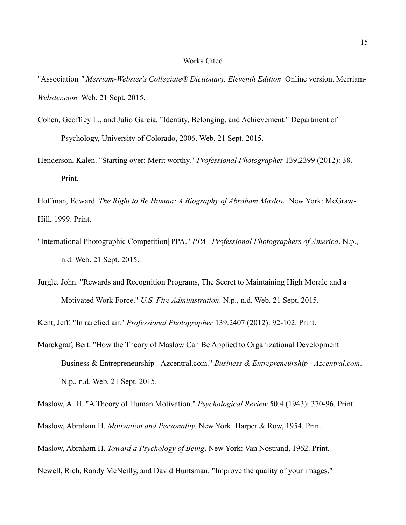## Works Cited

"Association*." Merriam-Webster's Collegiate® Dictionary, Eleventh Edition* Online version. Merriam-*Webster.com.* Web. 21 Sept. 2015.

- Cohen, Geoffrey L., and Julio Garcia. "Identity, Belonging, and Achievement." Department of Psychology, University of Colorado, 2006. Web. 21 Sept. 2015.
- Henderson, Kalen. "Starting over: Merit worthy." *Professional Photographer* 139.2399 (2012): 38. Print.

Hoffman, Edward. *The Right to Be Human: A Biography of Abraham Maslow*. New York: McGraw-Hill, 1999. Print.

- "International Photographic Competition| PPA." *PPA | Professional Photographers of America*. N.p., n.d. Web. 21 Sept. 2015.
- Jurgle, John. "Rewards and Recognition Programs, The Secret to Maintaining High Morale and a Motivated Work Force." *U.S. Fire Administration*. N.p., n.d. Web. 21 Sept. 2015.

Kent, Jeff. "In rarefied air." *Professional Photographer* 139.2407 (2012): 92-102. Print.

Marckgraf, Bert. "How the Theory of Maslow Can Be Applied to Organizational Development | Business & Entrepreneurship - Azcentral.com." *Business & Entrepreneurship - Azcentral.com*. N.p., n.d. Web. 21 Sept. 2015.

Maslow, A. H. "A Theory of Human Motivation." *Psychological Review* 50.4 (1943): 370-96. Print.

Maslow, Abraham H. *Motivation and Personality*. New York: Harper & Row, 1954. Print.

Maslow, Abraham H. *Toward a Psychology of Being*. New York: Van Nostrand, 1962. Print.

Newell, Rich, Randy McNeilly, and David Huntsman. "Improve the quality of your images."